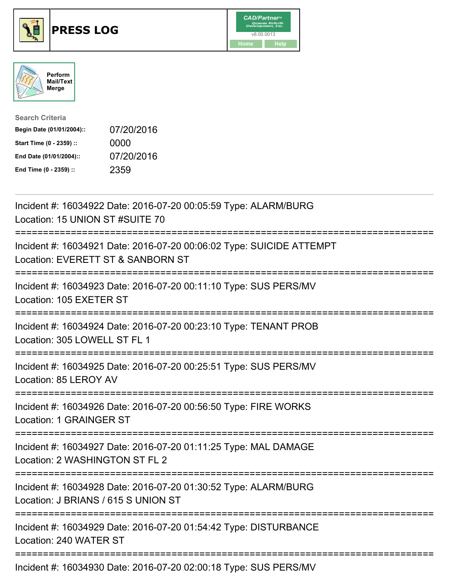





| <b>Search Criteria</b>    |            |
|---------------------------|------------|
| Begin Date (01/01/2004):: | 07/20/2016 |
| Start Time (0 - 2359) ::  | 0000       |
| End Date (01/01/2004)::   | 07/20/2016 |
| End Time (0 - 2359) ::    | 2359       |

| Incident #: 16034922 Date: 2016-07-20 00:05:59 Type: ALARM/BURG<br>Location: 15 UNION ST #SUITE 70               |
|------------------------------------------------------------------------------------------------------------------|
| Incident #: 16034921 Date: 2016-07-20 00:06:02 Type: SUICIDE ATTEMPT<br>Location: EVERETT ST & SANBORN ST        |
| Incident #: 16034923 Date: 2016-07-20 00:11:10 Type: SUS PERS/MV<br>Location: 105 EXETER ST<br>;================ |
| Incident #: 16034924 Date: 2016-07-20 00:23:10 Type: TENANT PROB<br>Location: 305 LOWELL ST FL 1                 |
| Incident #: 16034925 Date: 2016-07-20 00:25:51 Type: SUS PERS/MV<br>Location: 85 LEROY AV                        |
| Incident #: 16034926 Date: 2016-07-20 00:56:50 Type: FIRE WORKS<br>Location: 1 GRAINGER ST                       |
| Incident #: 16034927 Date: 2016-07-20 01:11:25 Type: MAL DAMAGE<br>Location: 2 WASHINGTON ST FL 2                |
| Incident #: 16034928 Date: 2016-07-20 01:30:52 Type: ALARM/BURG<br>Location: J BRIANS / 615 S UNION ST           |
| Incident #: 16034929 Date: 2016-07-20 01:54:42 Type: DISTURBANCE<br>Location: 240 WATER ST                       |
| =====================================<br>Incident #: 16034930 Date: 2016-07-20 02:00:18 Type: SUS PERS/MV        |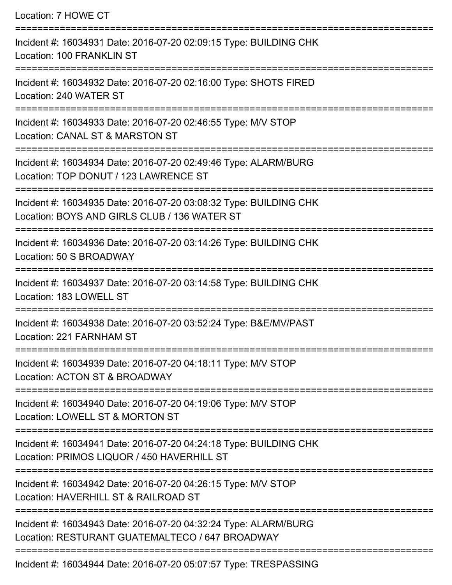| Location: 7 HOWE CT                                                                                                                  |
|--------------------------------------------------------------------------------------------------------------------------------------|
| Incident #: 16034931 Date: 2016-07-20 02:09:15 Type: BUILDING CHK<br>Location: 100 FRANKLIN ST                                       |
| Incident #: 16034932 Date: 2016-07-20 02:16:00 Type: SHOTS FIRED<br>Location: 240 WATER ST                                           |
| Incident #: 16034933 Date: 2016-07-20 02:46:55 Type: M/V STOP<br>Location: CANAL ST & MARSTON ST                                     |
| Incident #: 16034934 Date: 2016-07-20 02:49:46 Type: ALARM/BURG<br>Location: TOP DONUT / 123 LAWRENCE ST<br>======================== |
| Incident #: 16034935 Date: 2016-07-20 03:08:32 Type: BUILDING CHK<br>Location: BOYS AND GIRLS CLUB / 136 WATER ST                    |
| Incident #: 16034936 Date: 2016-07-20 03:14:26 Type: BUILDING CHK<br>Location: 50 S BROADWAY                                         |
| Incident #: 16034937 Date: 2016-07-20 03:14:58 Type: BUILDING CHK<br>Location: 183 LOWELL ST<br>================                     |
| Incident #: 16034938 Date: 2016-07-20 03:52:24 Type: B&E/MV/PAST<br>Location: 221 FARNHAM ST                                         |
| Incident #: 16034939 Date: 2016-07-20 04:18:11 Type: M/V STOP<br>Location: ACTON ST & BROADWAY                                       |
| Incident #: 16034940 Date: 2016-07-20 04:19:06 Type: M/V STOP<br>Location: LOWELL ST & MORTON ST                                     |
| Incident #: 16034941 Date: 2016-07-20 04:24:18 Type: BUILDING CHK<br>Location: PRIMOS LIQUOR / 450 HAVERHILL ST                      |
| ==========================<br>Incident #: 16034942 Date: 2016-07-20 04:26:15 Type: M/V STOP<br>Location: HAVERHILL ST & RAILROAD ST  |
| Incident #: 16034943 Date: 2016-07-20 04:32:24 Type: ALARM/BURG<br>Location: RESTURANT GUATEMALTECO / 647 BROADWAY                   |
| Incident #: 16034944 Date: 2016-07-20 05:07:57 Type: TRESPASSING                                                                     |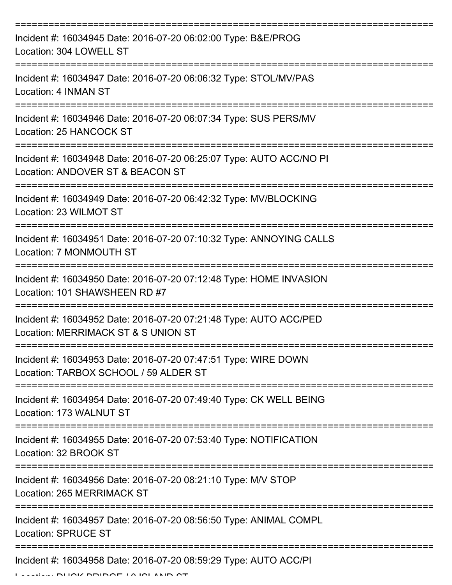| Incident #: 16034945 Date: 2016-07-20 06:02:00 Type: B&E/PROG<br>Location: 304 LOWELL ST                                           |
|------------------------------------------------------------------------------------------------------------------------------------|
| Incident #: 16034947 Date: 2016-07-20 06:06:32 Type: STOL/MV/PAS<br>Location: 4 INMAN ST                                           |
| Incident #: 16034946 Date: 2016-07-20 06:07:34 Type: SUS PERS/MV<br>Location: 25 HANCOCK ST                                        |
| Incident #: 16034948 Date: 2016-07-20 06:25:07 Type: AUTO ACC/NO PI<br>Location: ANDOVER ST & BEACON ST                            |
| Incident #: 16034949 Date: 2016-07-20 06:42:32 Type: MV/BLOCKING<br>Location: 23 WILMOT ST<br>==================================== |
| Incident #: 16034951 Date: 2016-07-20 07:10:32 Type: ANNOYING CALLS<br>Location: 7 MONMOUTH ST                                     |
| Incident #: 16034950 Date: 2016-07-20 07:12:48 Type: HOME INVASION<br>Location: 101 SHAWSHEEN RD #7                                |
| Incident #: 16034952 Date: 2016-07-20 07:21:48 Type: AUTO ACC/PED<br>Location: MERRIMACK ST & S UNION ST                           |
| Incident #: 16034953 Date: 2016-07-20 07:47:51 Type: WIRE DOWN<br>Location: TARBOX SCHOOL / 59 ALDER ST                            |
| Incident #: 16034954 Date: 2016-07-20 07:49:40 Type: CK WELL BEING<br>Location: 173 WALNUT ST                                      |
| Incident #: 16034955 Date: 2016-07-20 07:53:40 Type: NOTIFICATION<br>Location: 32 BROOK ST                                         |
| Incident #: 16034956 Date: 2016-07-20 08:21:10 Type: M/V STOP<br><b>Location: 265 MERRIMACK ST</b>                                 |
| Incident #: 16034957 Date: 2016-07-20 08:56:50 Type: ANIMAL COMPL<br><b>Location: SPRUCE ST</b>                                    |
| Incident #: 16034958 Date: 2016-07-20 08:59:29 Type: AUTO ACC/PI                                                                   |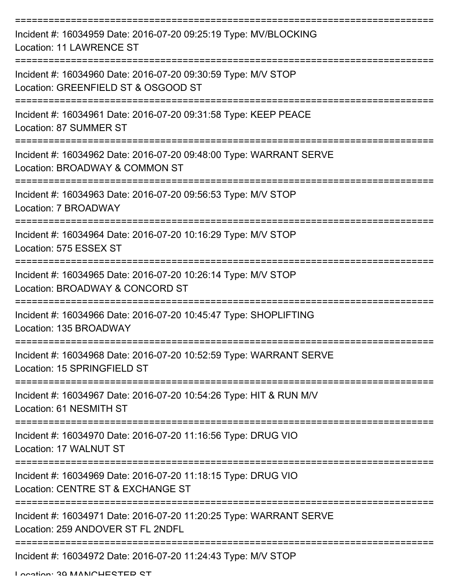| Incident #: 16034959 Date: 2016-07-20 09:25:19 Type: MV/BLOCKING<br><b>Location: 11 LAWRENCE ST</b>     |
|---------------------------------------------------------------------------------------------------------|
| Incident #: 16034960 Date: 2016-07-20 09:30:59 Type: M/V STOP<br>Location: GREENFIELD ST & OSGOOD ST    |
| Incident #: 16034961 Date: 2016-07-20 09:31:58 Type: KEEP PEACE<br>Location: 87 SUMMER ST               |
| Incident #: 16034962 Date: 2016-07-20 09:48:00 Type: WARRANT SERVE<br>Location: BROADWAY & COMMON ST    |
| Incident #: 16034963 Date: 2016-07-20 09:56:53 Type: M/V STOP<br>Location: 7 BROADWAY                   |
| Incident #: 16034964 Date: 2016-07-20 10:16:29 Type: M/V STOP<br>Location: 575 ESSEX ST                 |
| Incident #: 16034965 Date: 2016-07-20 10:26:14 Type: M/V STOP<br>Location: BROADWAY & CONCORD ST        |
| Incident #: 16034966 Date: 2016-07-20 10:45:47 Type: SHOPLIFTING<br>Location: 135 BROADWAY              |
| Incident #: 16034968 Date: 2016-07-20 10:52:59 Type: WARRANT SERVE<br>Location: 15 SPRINGFIELD ST       |
| Incident #: 16034967 Date: 2016-07-20 10:54:26 Type: HIT & RUN M/V<br>Location: 61 NESMITH ST           |
| Incident #: 16034970 Date: 2016-07-20 11:16:56 Type: DRUG VIO<br>Location: 17 WALNUT ST                 |
| Incident #: 16034969 Date: 2016-07-20 11:18:15 Type: DRUG VIO<br>Location: CENTRE ST & EXCHANGE ST      |
| Incident #: 16034971 Date: 2016-07-20 11:20:25 Type: WARRANT SERVE<br>Location: 259 ANDOVER ST FL 2NDFL |
| Incident #: 16034972 Date: 2016-07-20 11:24:43 Type: M/V STOP                                           |

Location: 20 MANICHESTED ST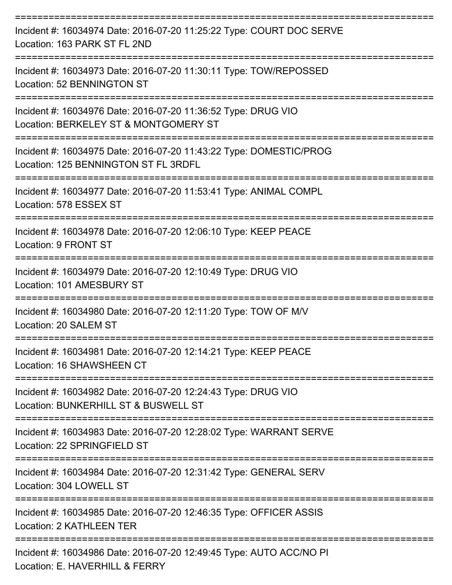| Incident #: 16034974 Date: 2016-07-20 11:25:22 Type: COURT DOC SERVE<br>Location: 163 PARK ST FL 2ND         |
|--------------------------------------------------------------------------------------------------------------|
| Incident #: 16034973 Date: 2016-07-20 11:30:11 Type: TOW/REPOSSED<br>Location: 52 BENNINGTON ST              |
| Incident #: 16034976 Date: 2016-07-20 11:36:52 Type: DRUG VIO<br>Location: BERKELEY ST & MONTGOMERY ST       |
| Incident #: 16034975 Date: 2016-07-20 11:43:22 Type: DOMESTIC/PROG<br>Location: 125 BENNINGTON ST FL 3RDFL   |
| Incident #: 16034977 Date: 2016-07-20 11:53:41 Type: ANIMAL COMPL<br>Location: 578 ESSEX ST                  |
| Incident #: 16034978 Date: 2016-07-20 12:06:10 Type: KEEP PEACE<br>Location: 9 FRONT ST                      |
| Incident #: 16034979 Date: 2016-07-20 12:10:49 Type: DRUG VIO<br>Location: 101 AMESBURY ST                   |
| Incident #: 16034980 Date: 2016-07-20 12:11:20 Type: TOW OF M/V<br>Location: 20 SALEM ST                     |
| Incident #: 16034981 Date: 2016-07-20 12:14:21 Type: KEEP PEACE<br>Location: 16 SHAWSHEEN CT<br>------------ |
| Incident #: 16034982 Date: 2016-07-20 12:24:43 Type: DRUG VIO<br>Location: BUNKERHILL ST & BUSWELL ST        |
| Incident #: 16034983 Date: 2016-07-20 12:28:02 Type: WARRANT SERVE<br>Location: 22 SPRINGFIELD ST            |
| Incident #: 16034984 Date: 2016-07-20 12:31:42 Type: GENERAL SERV<br>Location: 304 LOWELL ST                 |
| Incident #: 16034985 Date: 2016-07-20 12:46:35 Type: OFFICER ASSIS<br><b>Location: 2 KATHLEEN TER</b>        |
| Incident #: 16034986 Date: 2016-07-20 12:49:45 Type: AUTO ACC/NO PI<br>Location: E. HAVERHILL & FERRY        |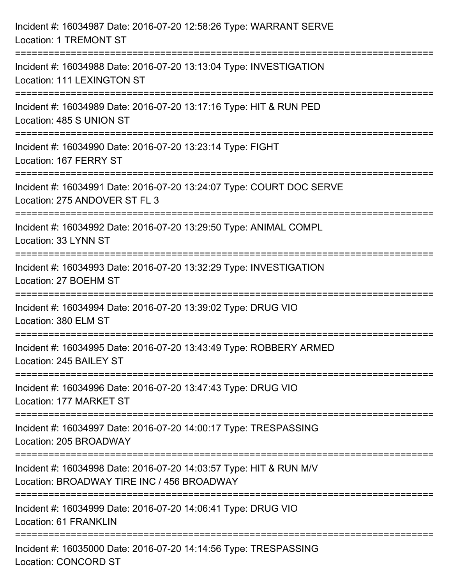| Incident #: 16034987 Date: 2016-07-20 12:58:26 Type: WARRANT SERVE<br><b>Location: 1 TREMONT ST</b>                                                                                 |
|-------------------------------------------------------------------------------------------------------------------------------------------------------------------------------------|
| :=============================<br>Incident #: 16034988 Date: 2016-07-20 13:13:04 Type: INVESTIGATION<br>Location: 111 LEXINGTON ST                                                  |
| Incident #: 16034989 Date: 2016-07-20 13:17:16 Type: HIT & RUN PED<br>Location: 485 S UNION ST                                                                                      |
| =============================<br>Incident #: 16034990 Date: 2016-07-20 13:23:14 Type: FIGHT<br>Location: 167 FERRY ST                                                               |
| Incident #: 16034991 Date: 2016-07-20 13:24:07 Type: COURT DOC SERVE<br>Location: 275 ANDOVER ST FL 3<br>==================================<br>;=================================== |
| Incident #: 16034992 Date: 2016-07-20 13:29:50 Type: ANIMAL COMPL<br>Location: 33 LYNN ST                                                                                           |
| Incident #: 16034993 Date: 2016-07-20 13:32:29 Type: INVESTIGATION<br>Location: 27 BOEHM ST                                                                                         |
| ===================================<br>Incident #: 16034994 Date: 2016-07-20 13:39:02 Type: DRUG VIO<br>Location: 380 ELM ST                                                        |
| Incident #: 16034995 Date: 2016-07-20 13:43:49 Type: ROBBERY ARMED<br>Location: 245 BAILEY ST                                                                                       |
| ==============================<br>Incident #: 16034996 Date: 2016-07-20 13:47:43 Type: DRUG VIO<br>Location: 177 MARKET ST                                                          |
| Incident #: 16034997 Date: 2016-07-20 14:00:17 Type: TRESPASSING<br>Location: 205 BROADWAY                                                                                          |
| Incident #: 16034998 Date: 2016-07-20 14:03:57 Type: HIT & RUN M/V<br>Location: BROADWAY TIRE INC / 456 BROADWAY                                                                    |
| Incident #: 16034999 Date: 2016-07-20 14:06:41 Type: DRUG VIO<br>Location: 61 FRANKLIN                                                                                              |
| Incident #: 16035000 Date: 2016-07-20 14:14:56 Type: TRESPASSING<br><b>Location: CONCORD ST</b>                                                                                     |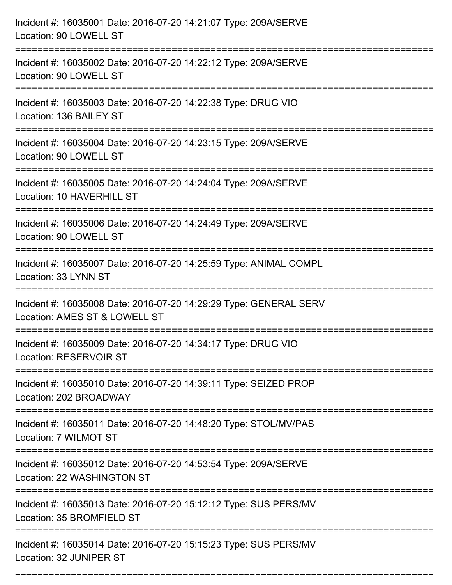| Incident #: 16035001 Date: 2016-07-20 14:21:07 Type: 209A/SERVE<br>Location: 90 LOWELL ST                                     |
|-------------------------------------------------------------------------------------------------------------------------------|
| Incident #: 16035002 Date: 2016-07-20 14:22:12 Type: 209A/SERVE<br>Location: 90 LOWELL ST                                     |
| Incident #: 16035003 Date: 2016-07-20 14:22:38 Type: DRUG VIO<br>Location: 136 BAILEY ST                                      |
| Incident #: 16035004 Date: 2016-07-20 14:23:15 Type: 209A/SERVE<br>Location: 90 LOWELL ST                                     |
| Incident #: 16035005 Date: 2016-07-20 14:24:04 Type: 209A/SERVE<br>Location: 10 HAVERHILL ST                                  |
| Incident #: 16035006 Date: 2016-07-20 14:24:49 Type: 209A/SERVE<br>Location: 90 LOWELL ST                                     |
| Incident #: 16035007 Date: 2016-07-20 14:25:59 Type: ANIMAL COMPL<br>Location: 33 LYNN ST<br>================================ |
| Incident #: 16035008 Date: 2016-07-20 14:29:29 Type: GENERAL SERV<br>Location: AMES ST & LOWELL ST                            |
| Incident #: 16035009 Date: 2016-07-20 14:34:17 Type: DRUG VIO<br>Location: RESERVOIR ST                                       |
| Incident #: 16035010 Date: 2016-07-20 14:39:11 Type: SEIZED PROP<br>Location: 202 BROADWAY                                    |
| Incident #: 16035011 Date: 2016-07-20 14:48:20 Type: STOL/MV/PAS<br>Location: 7 WILMOT ST                                     |
| Incident #: 16035012 Date: 2016-07-20 14:53:54 Type: 209A/SERVE<br>Location: 22 WASHINGTON ST                                 |
| Incident #: 16035013 Date: 2016-07-20 15:12:12 Type: SUS PERS/MV<br>Location: 35 BROMFIELD ST                                 |
| Incident #: 16035014 Date: 2016-07-20 15:15:23 Type: SUS PERS/MV<br>Location: 32 JUNIPER ST                                   |

===========================================================================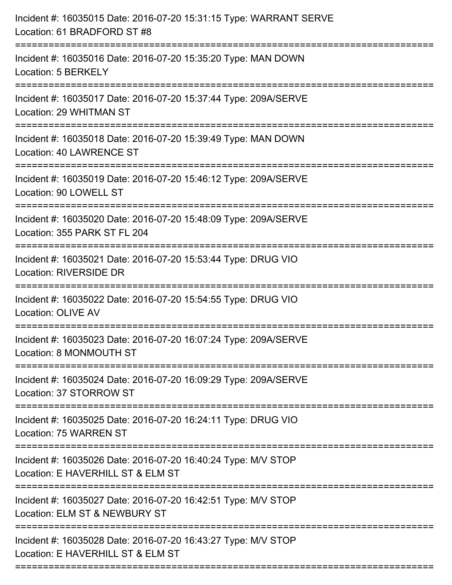| Incident #: 16035016 Date: 2016-07-20 15:35:20 Type: MAN DOWN<br>Location: 5 BERKELY<br>Incident #: 16035017 Date: 2016-07-20 15:37:44 Type: 209A/SERVE<br>Location: 29 WHITMAN ST<br>Incident #: 16035018 Date: 2016-07-20 15:39:49 Type: MAN DOWN<br>Location: 40 LAWRENCE ST<br>Incident #: 16035019 Date: 2016-07-20 15:46:12 Type: 209A/SERVE<br>Location: 90 LOWELL ST |
|------------------------------------------------------------------------------------------------------------------------------------------------------------------------------------------------------------------------------------------------------------------------------------------------------------------------------------------------------------------------------|
|                                                                                                                                                                                                                                                                                                                                                                              |
|                                                                                                                                                                                                                                                                                                                                                                              |
|                                                                                                                                                                                                                                                                                                                                                                              |
| -----------------------------                                                                                                                                                                                                                                                                                                                                                |
| Incident #: 16035020 Date: 2016-07-20 15:48:09 Type: 209A/SERVE<br>Location: 355 PARK ST FL 204                                                                                                                                                                                                                                                                              |
| Incident #: 16035021 Date: 2016-07-20 15:53:44 Type: DRUG VIO<br><b>Location: RIVERSIDE DR</b><br>============================                                                                                                                                                                                                                                               |
| Incident #: 16035022 Date: 2016-07-20 15:54:55 Type: DRUG VIO<br>Location: OLIVE AV                                                                                                                                                                                                                                                                                          |
| Incident #: 16035023 Date: 2016-07-20 16:07:24 Type: 209A/SERVE<br>Location: 8 MONMOUTH ST                                                                                                                                                                                                                                                                                   |
| ==================================<br>============================<br>Incident #: 16035024 Date: 2016-07-20 16:09:29 Type: 209A/SERVE<br>Location: 37 STORROW ST                                                                                                                                                                                                             |
| Incident #: 16035025 Date: 2016-07-20 16:24:11 Type: DRUG VIO<br>Location: 75 WARREN ST                                                                                                                                                                                                                                                                                      |
| Incident #: 16035026 Date: 2016-07-20 16:40:24 Type: M/V STOP<br>Location: E HAVERHILL ST & ELM ST                                                                                                                                                                                                                                                                           |
| Incident #: 16035027 Date: 2016-07-20 16:42:51 Type: M/V STOP<br>Location: ELM ST & NEWBURY ST                                                                                                                                                                                                                                                                               |
| Incident #: 16035028 Date: 2016-07-20 16:43:27 Type: M/V STOP<br>Location: E HAVERHILL ST & ELM ST                                                                                                                                                                                                                                                                           |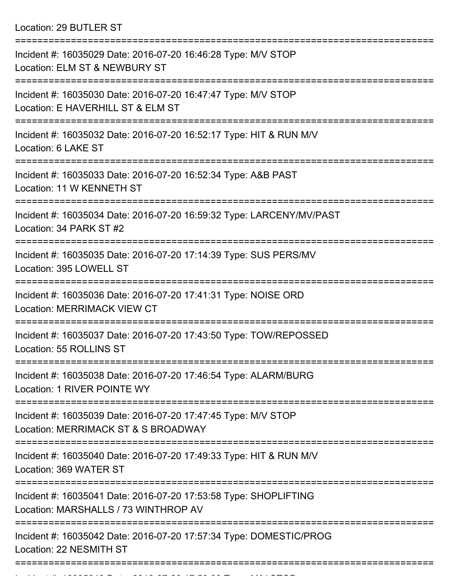Location: 29 BUTLER ST

| Incident #: 16035029 Date: 2016-07-20 16:46:28 Type: M/V STOP<br>Location: ELM ST & NEWBURY ST                         |
|------------------------------------------------------------------------------------------------------------------------|
| Incident #: 16035030 Date: 2016-07-20 16:47:47 Type: M/V STOP<br>Location: E HAVERHILL ST & ELM ST                     |
| Incident #: 16035032 Date: 2016-07-20 16:52:17 Type: HIT & RUN M/V<br>Location: 6 LAKE ST                              |
| Incident #: 16035033 Date: 2016-07-20 16:52:34 Type: A&B PAST<br>Location: 11 W KENNETH ST                             |
| Incident #: 16035034 Date: 2016-07-20 16:59:32 Type: LARCENY/MV/PAST<br>Location: 34 PARK ST #2                        |
| Incident #: 16035035 Date: 2016-07-20 17:14:39 Type: SUS PERS/MV<br>Location: 395 LOWELL ST                            |
| Incident #: 16035036 Date: 2016-07-20 17:41:31 Type: NOISE ORD<br><b>Location: MERRIMACK VIEW CT</b>                   |
| Incident #: 16035037 Date: 2016-07-20 17:43:50 Type: TOW/REPOSSED<br>Location: 55 ROLLINS ST                           |
| Incident #: 16035038 Date: 2016-07-20 17:46:54 Type: ALARM/BURG<br>Location: 1 RIVER POINTE WY                         |
| :=============<br>Incident #: 16035039 Date: 2016-07-20 17:47:45 Type: M/V STOP<br>Location: MERRIMACK ST & S BROADWAY |
| Incident #: 16035040 Date: 2016-07-20 17:49:33 Type: HIT & RUN M/V<br>Location: 369 WATER ST                           |
| Incident #: 16035041 Date: 2016-07-20 17:53:58 Type: SHOPLIFTING<br>Location: MARSHALLS / 73 WINTHROP AV               |
| Incident #: 16035042 Date: 2016-07-20 17:57:34 Type: DOMESTIC/PROG<br>Location: 22 NESMITH ST                          |
|                                                                                                                        |

Incident #: 16035043 Date: 2016 07 20 17:58:00 Type: M/V STOP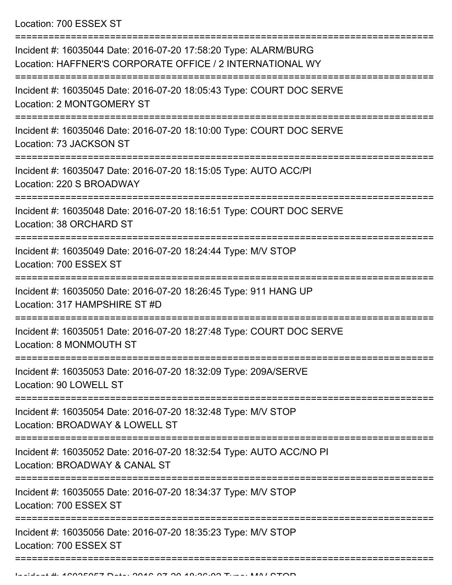Location: 700 ESSEX ST

| Incident #: 16035044 Date: 2016-07-20 17:58:20 Type: ALARM/BURG<br>Location: HAFFNER'S CORPORATE OFFICE / 2 INTERNATIONAL WY |
|------------------------------------------------------------------------------------------------------------------------------|
| Incident #: 16035045 Date: 2016-07-20 18:05:43 Type: COURT DOC SERVE<br>Location: 2 MONTGOMERY ST                            |
| Incident #: 16035046 Date: 2016-07-20 18:10:00 Type: COURT DOC SERVE<br>Location: 73 JACKSON ST                              |
| Incident #: 16035047 Date: 2016-07-20 18:15:05 Type: AUTO ACC/PI<br>Location: 220 S BROADWAY                                 |
| Incident #: 16035048 Date: 2016-07-20 18:16:51 Type: COURT DOC SERVE<br>Location: 38 ORCHARD ST                              |
| Incident #: 16035049 Date: 2016-07-20 18:24:44 Type: M/V STOP<br>Location: 700 ESSEX ST                                      |
| Incident #: 16035050 Date: 2016-07-20 18:26:45 Type: 911 HANG UP<br>Location: 317 HAMPSHIRE ST #D                            |
| Incident #: 16035051 Date: 2016-07-20 18:27:48 Type: COURT DOC SERVE<br>Location: 8 MONMOUTH ST                              |
| Incident #: 16035053 Date: 2016-07-20 18:32:09 Type: 209A/SERVE<br>Location: 90 LOWELL ST                                    |
| Incident #: 16035054 Date: 2016-07-20 18:32:48 Type: M/V STOP<br>Location: BROADWAY & LOWELL ST                              |
| Incident #: 16035052 Date: 2016-07-20 18:32:54 Type: AUTO ACC/NO PI<br>Location: BROADWAY & CANAL ST                         |
| Incident #: 16035055 Date: 2016-07-20 18:34:37 Type: M/V STOP<br>Location: 700 ESSEX ST                                      |
| Incident #: 16035056 Date: 2016-07-20 18:35:23 Type: M/V STOP<br>Location: 700 ESSEX ST                                      |
|                                                                                                                              |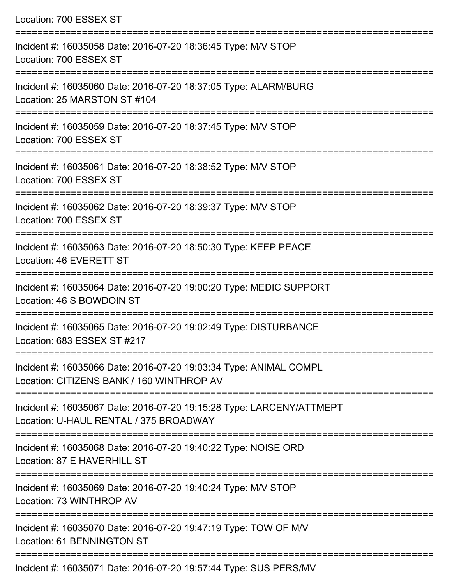| Location: 700 ESSEX ST                                                                                                          |
|---------------------------------------------------------------------------------------------------------------------------------|
| Incident #: 16035058 Date: 2016-07-20 18:36:45 Type: M/V STOP<br>Location: 700 ESSEX ST                                         |
| Incident #: 16035060 Date: 2016-07-20 18:37:05 Type: ALARM/BURG<br>Location: 25 MARSTON ST #104                                 |
| Incident #: 16035059 Date: 2016-07-20 18:37:45 Type: M/V STOP<br>Location: 700 ESSEX ST<br>:=================================== |
| Incident #: 16035061 Date: 2016-07-20 18:38:52 Type: M/V STOP<br>Location: 700 ESSEX ST                                         |
| Incident #: 16035062 Date: 2016-07-20 18:39:37 Type: M/V STOP<br>Location: 700 ESSEX ST                                         |
| Incident #: 16035063 Date: 2016-07-20 18:50:30 Type: KEEP PEACE<br>Location: 46 EVERETT ST                                      |
| Incident #: 16035064 Date: 2016-07-20 19:00:20 Type: MEDIC SUPPORT<br>Location: 46 S BOWDOIN ST                                 |
| Incident #: 16035065 Date: 2016-07-20 19:02:49 Type: DISTURBANCE<br>Location: 683 ESSEX ST #217                                 |
| Incident #: 16035066 Date: 2016-07-20 19:03:34 Type: ANIMAL COMPL<br>Location: CITIZENS BANK / 160 WINTHROP AV                  |
| Incident #: 16035067 Date: 2016-07-20 19:15:28 Type: LARCENY/ATTMEPT<br>Location: U-HAUL RENTAL / 375 BROADWAY                  |
| Incident #: 16035068 Date: 2016-07-20 19:40:22 Type: NOISE ORD<br>Location: 87 E HAVERHILL ST                                   |
| Incident #: 16035069 Date: 2016-07-20 19:40:24 Type: M/V STOP<br>Location: 73 WINTHROP AV                                       |
| Incident #: 16035070 Date: 2016-07-20 19:47:19 Type: TOW OF M/V<br>Location: 61 BENNINGTON ST                                   |
|                                                                                                                                 |

Incident #: 16035071 Date: 2016-07-20 19:57:44 Type: SUS PERS/MV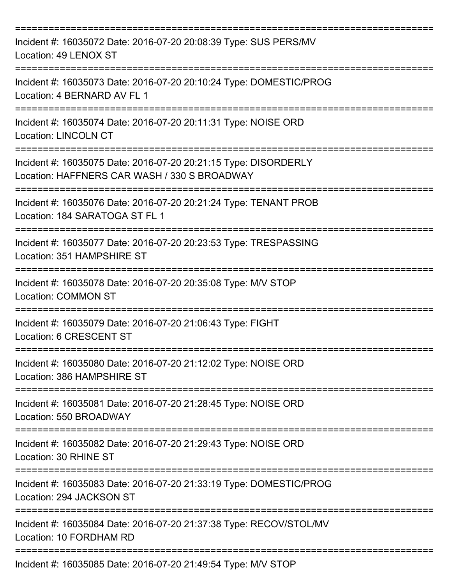| Incident #: 16035072 Date: 2016-07-20 20:08:39 Type: SUS PERS/MV<br>Location: 49 LENOX ST                               |
|-------------------------------------------------------------------------------------------------------------------------|
| Incident #: 16035073 Date: 2016-07-20 20:10:24 Type: DOMESTIC/PROG<br>Location: 4 BERNARD AV FL 1                       |
| Incident #: 16035074 Date: 2016-07-20 20:11:31 Type: NOISE ORD<br><b>Location: LINCOLN CT</b>                           |
| Incident #: 16035075 Date: 2016-07-20 20:21:15 Type: DISORDERLY<br>Location: HAFFNERS CAR WASH / 330 S BROADWAY         |
| -----------------<br>Incident #: 16035076 Date: 2016-07-20 20:21:24 Type: TENANT PROB<br>Location: 184 SARATOGA ST FL 1 |
| Incident #: 16035077 Date: 2016-07-20 20:23:53 Type: TRESPASSING<br>Location: 351 HAMPSHIRE ST                          |
| Incident #: 16035078 Date: 2016-07-20 20:35:08 Type: M/V STOP<br><b>Location: COMMON ST</b>                             |
| Incident #: 16035079 Date: 2016-07-20 21:06:43 Type: FIGHT<br>Location: 6 CRESCENT ST                                   |
| Incident #: 16035080 Date: 2016-07-20 21:12:02 Type: NOISE ORD<br>Location: 386 HAMPSHIRE ST                            |
| Incident #: 16035081 Date: 2016-07-20 21:28:45 Type: NOISE ORD<br>Location: 550 BROADWAY                                |
| Incident #: 16035082 Date: 2016-07-20 21:29:43 Type: NOISE ORD<br>Location: 30 RHINE ST                                 |
| Incident #: 16035083 Date: 2016-07-20 21:33:19 Type: DOMESTIC/PROG<br>Location: 294 JACKSON ST                          |
| Incident #: 16035084 Date: 2016-07-20 21:37:38 Type: RECOV/STOL/MV<br>Location: 10 FORDHAM RD                           |
| Incident #: 16035085 Date: 2016-07-20 21:49:54 Type: M/V STOP                                                           |